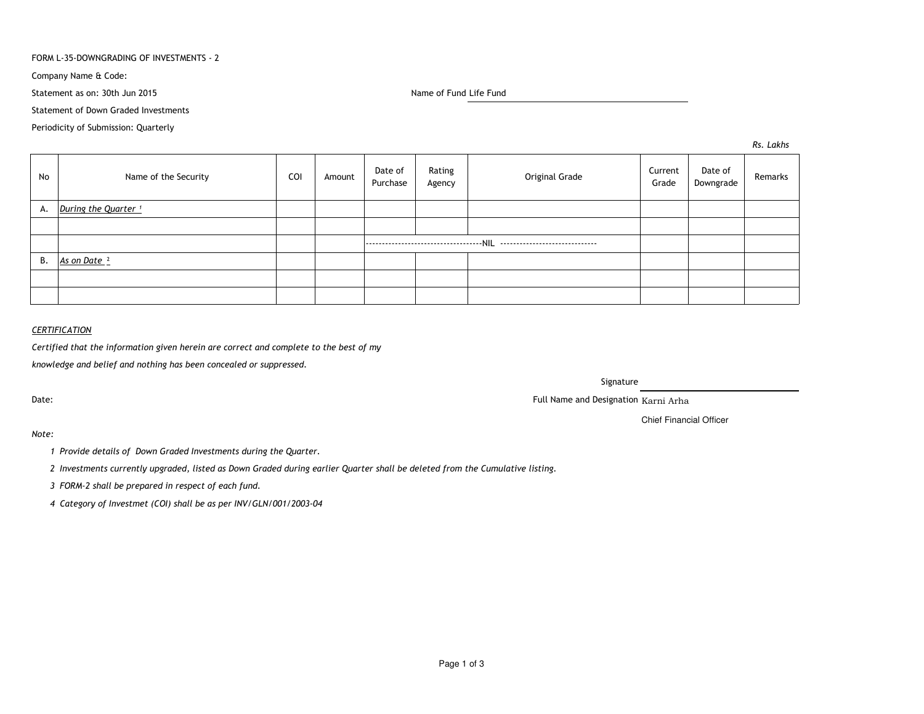#### FORM L-35-DOWNGRADING OF INVESTMENTS - 2

Company Name & Code:

Statement as on: 30th Jun 2015

Name of Fund Life Fund

Statement of Down Graded Investments

Periodicity of Submission: Quarterly

*Rs. Lakhs*

| No | Name of the Security            | COI | Amount | Date of<br>Purchase | Rating<br>Agency | Original Grade | Current<br>Grade | Date of<br>Downgrade | Remarks |
|----|---------------------------------|-----|--------|---------------------|------------------|----------------|------------------|----------------------|---------|
| А. | During the Quarter <sup>1</sup> |     |        |                     |                  |                |                  |                      |         |
|    |                                 |     |        |                     |                  |                |                  |                      |         |
|    |                                 |     |        |                     |                  |                |                  |                      |         |
| В. | As on Date <sup>2</sup>         |     |        |                     |                  |                |                  |                      |         |
|    |                                 |     |        |                     |                  |                |                  |                      |         |
|    |                                 |     |        |                     |                  |                |                  |                      |         |

# *CERTIFICATION*

*Certified that the information given herein are correct and complete to the best of my*

*knowledge and belief and nothing has been concealed or suppressed.*

Date:

Signature

Full Name and Designation Karni Arha

Chief Financial Officer

*Note:*

*<sup>1</sup> Provide details of Down Graded Investments during the Quarter.* 

*<sup>2</sup> Investments currently upgraded, listed as Down Graded during earlier Quarter shall be deleted from the Cumulative listing.*

*<sup>3</sup> FORM-2 shall be prepared in respect of each fund.*

*<sup>4</sup> Category of Investmet (COI) shall be as per INV/GLN/001/2003-04*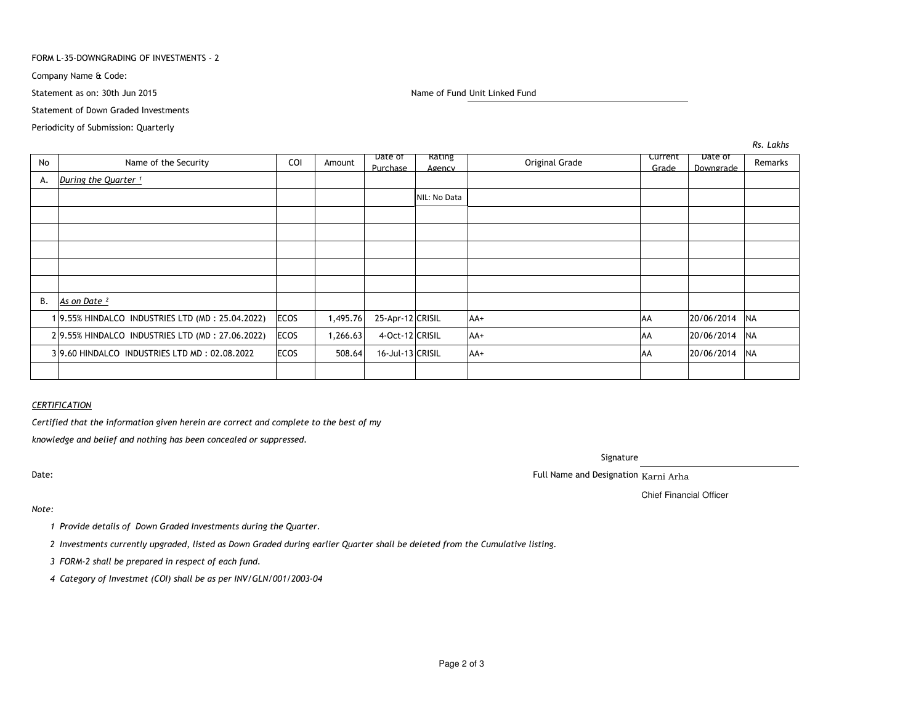#### FORM L-35-DOWNGRADING OF INVESTMENTS - 2

Company Name & Code:

Statement as on: 30th Jun 2015

Name of Fund Unit Linked Fund

Statement of Down Graded Investments

Periodicity of Submission: Quarterly

No Name of the Security COI Amount Date of Purchase Rating Current Date of Remarks<br>Agency Criginal Grade Carade Downgrade Remarks A.*During the Quarter* <sup>1</sup> NIL: No DataB. *As on Date ²*<sup>1</sup> 9.55% HINDALCO INDUSTRIES LTD (MD : 25.04.2022) ECOS 1,495.76 25-Apr-12 CRISIL AA+ AA 20/06/2014 NA2 9.55% HINDALCO INDUSTRIES LTD (MD: 27.06.2022) ECOS 1,266.63 4-Oct-12 CRISIL AA+ AA 20/06/2014 NA3 9.60 HINDALCO INDUSTRIES LTD MD : 02.08.2022 | ECOS | 508.64 | 16-Jul-13 CRISIL | AA+ AA 20/06/2014 NA

## *CERTIFICATION*

*Certified that the information given herein are correct and complete to the best of my*

*knowledge and belief and nothing has been concealed or suppressed.*

Date:

Signature

. The contract of the contract of the contract of the contract of the contract of the contract of the contract of the contract of the contract of the contract of the contract of the contract of the contract of the contract

Chief Financial Officer

## *Note:*

*<sup>1</sup> Provide details of Down Graded Investments during the Quarter.* 

*<sup>2</sup> Investments currently upgraded, listed as Down Graded during earlier Quarter shall be deleted from the Cumulative listing.*

*<sup>3</sup> FORM-2 shall be prepared in respect of each fund.*

*<sup>4</sup> Category of Investmet (COI) shall be as per INV/GLN/001/2003-04*

*Rs. Lakhs*